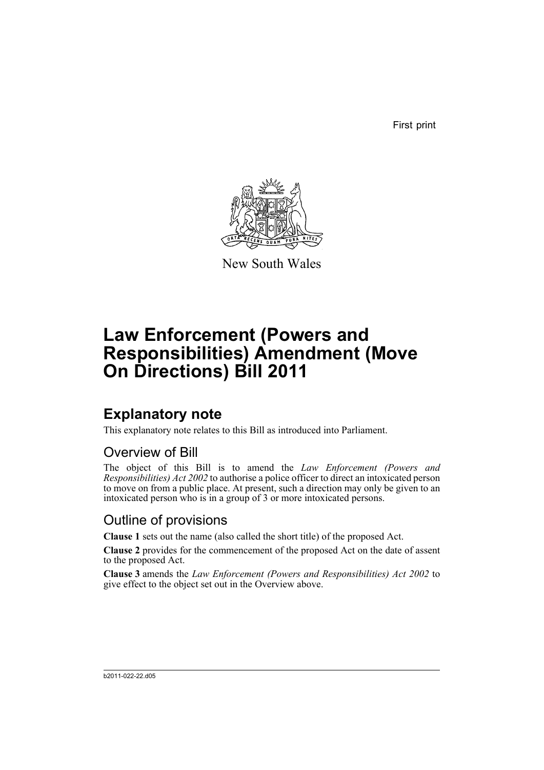First print



New South Wales

# **Law Enforcement (Powers and Responsibilities) Amendment (Move On Directions) Bill 2011**

## **Explanatory note**

This explanatory note relates to this Bill as introduced into Parliament.

#### Overview of Bill

The object of this Bill is to amend the *Law Enforcement (Powers and Responsibilities) Act 2002* to authorise a police officer to direct an intoxicated person to move on from a public place. At present, such a direction may only be given to an intoxicated person who is in a group of 3 or more intoxicated persons.

#### Outline of provisions

**Clause 1** sets out the name (also called the short title) of the proposed Act.

**Clause 2** provides for the commencement of the proposed Act on the date of assent to the proposed Act.

**Clause 3** amends the *Law Enforcement (Powers and Responsibilities) Act 2002* to give effect to the object set out in the Overview above.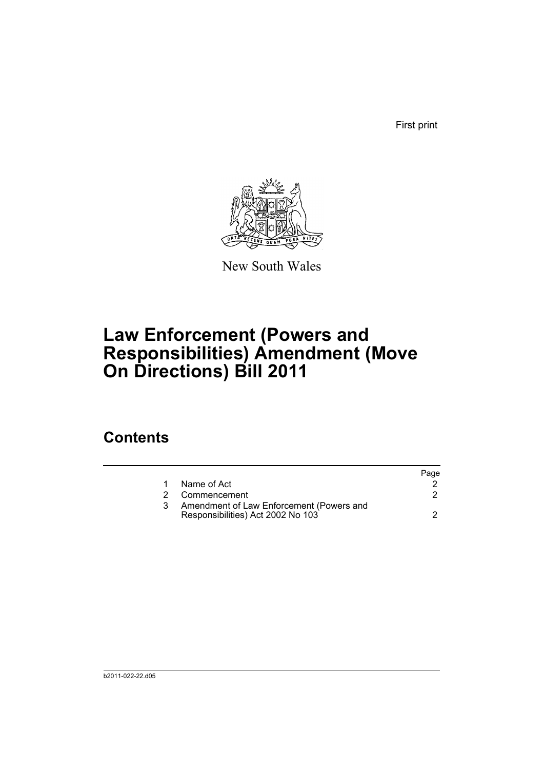First print



New South Wales

# **Law Enforcement (Powers and Responsibilities) Amendment (Move On Directions) Bill 2011**

### **Contents**

|    |                                                                               | Page |
|----|-------------------------------------------------------------------------------|------|
|    | Name of Act                                                                   |      |
| 2. | Commencement                                                                  |      |
|    | Amendment of Law Enforcement (Powers and<br>Responsibilities) Act 2002 No 103 |      |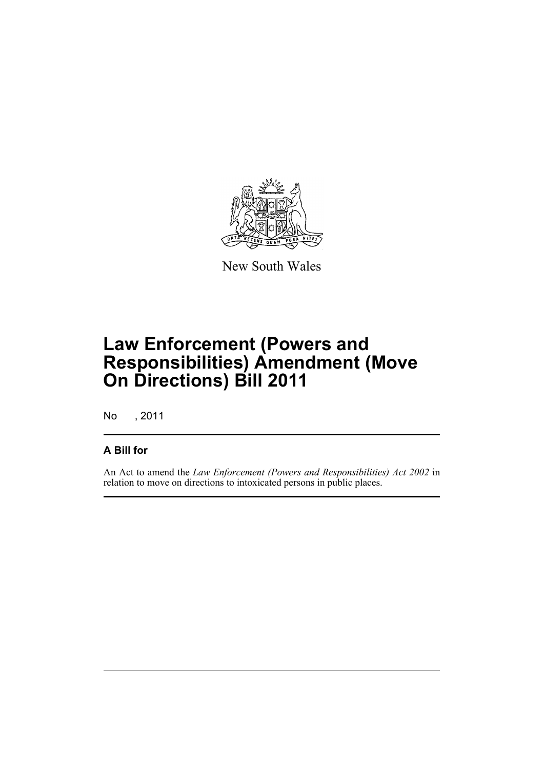

New South Wales

# **Law Enforcement (Powers and Responsibilities) Amendment (Move On Directions) Bill 2011**

No , 2011

#### **A Bill for**

An Act to amend the *Law Enforcement (Powers and Responsibilities) Act 2002* in relation to move on directions to intoxicated persons in public places.